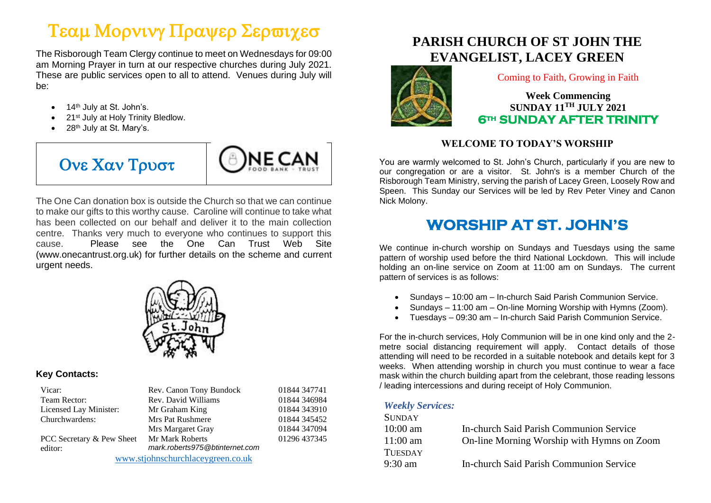# Τεαμ Μορνινγ Πραψερ Σερωιχεσ

The Risborough Team Clergy continue to meet on Wednesdays for 09:00 am Morning Prayer in turn at our respective churches during July 2021. These are public services open to all to attend. Venues during July will be:

- 14<sup>th</sup> July at St. John's.
- 21<sup>st</sup> July at Holy Trinity Bledlow.
- 28<sup>th</sup> July at St. Mary's.





The One Can donation box is outside the Church so that we can continue to make our gifts to this worthy cause. Caroline will continue to take what has been collected on our behalf and deliver it to the main collection centre. Thanks very much to everyone who continues to support this cause. Please see the One Can Trust Web Site (www.onecantrust.org.uk) for further details on the scheme and current urgent needs.



### **Key Contacts:**

| Rev. Canon Tony Bundock        | 01844 347741                      |
|--------------------------------|-----------------------------------|
| Rev. David Williams            | 01844 346984                      |
| Mr Graham King                 | 01844 343910                      |
| Mrs Pat Rushmere               | 01844 345452                      |
| Mrs Margaret Gray              | 01844 347094                      |
| Mr Mark Roberts                | 01296 437345                      |
| mark.roberts975@btinternet.com |                                   |
|                                |                                   |
|                                | www.stjohnschurchlaceygreen.co.uk |

### **PARISH CHURCH OF ST JOHN THE EVANGELIST, LACEY GREEN**



Coming to Faith, Growing in Faith

### **Week Commencing SUNDAY 11TH JULY 2021 6th SUNDAY AFTER TRINITY**

### **WELCOME TO TODAY'S WORSHIP**

You are warmly welcomed to St. John's Church, particularly if you are new to our congregation or are a visitor. St. John's is a member Church of the Risborough Team Ministry, serving the parish of Lacey Green, Loosely Row and Speen. This Sunday our Services will be led by Rev Peter Viney and Canon Nick Molony.

## **WORSHIP AT ST. JOHN'S**

We continue in-church worship on Sundays and Tuesdays using the same pattern of worship used before the third National Lockdown. This will include holding an on-line service on Zoom at 11:00 am on Sundays. The current pattern of services is as follows:

- Sundays 10:00 am In-church Said Parish Communion Service.
- Sundays 11:00 am On-line Morning Worship with Hymns (Zoom).
- Tuesdays 09:30 am In-church Said Parish Communion Service.

For the in-church services, Holy Communion will be in one kind only and the 2 metre social distancing requirement will apply. Contact details of those attending will need to be recorded in a suitable notebook and details kept for 3 weeks. When attending worship in church you must continue to wear a face mask within the church building apart from the celebrant, those reading lessons / leading intercessions and during receipt of Holy Communion.

### *Weekly Services:*

| <b>SUNDAY</b>      |                                            |
|--------------------|--------------------------------------------|
| $10:00 \text{ am}$ | In-church Said Parish Communion Service    |
| $11:00$ am         | On-line Morning Worship with Hymns on Zoom |
| <b>TUESDAY</b>     |                                            |
| $9:30 \text{ am}$  | In-church Said Parish Communion Service    |
|                    |                                            |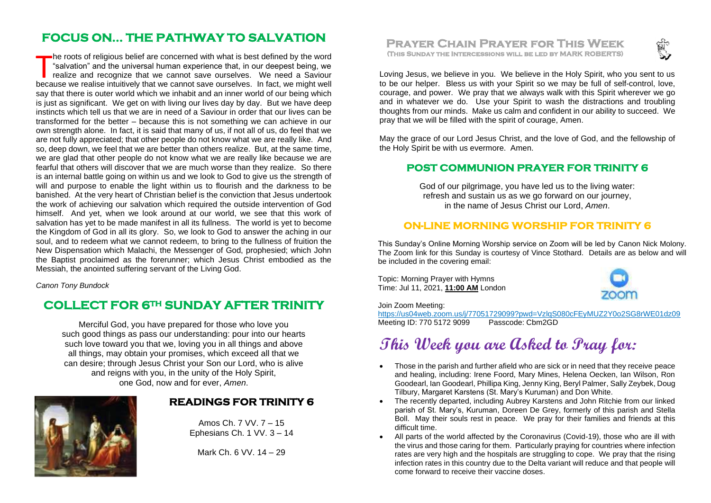### **FOCUS ON… THE PATHWAY TO SALVATION**

he roots of religious belief are concerned with what is best defined by the word "salvation" and the universal human experience that, in our deepest being, we realize and recognize that we cannot save ourselves. We need a Saviour The roots of religious belief are concerned with what is best defined by the word "salvation" and the universal human experience that, in our deepest being, we realize and recognize that we cannot save ourselves. We need a say that there is outer world which we inhabit and an inner world of our being which is just as significant. We get on with living our lives day by day. But we have deep instincts which tell us that we are in need of a Saviour in order that our lives can be transformed for the better – because this is not something we can achieve in our own strength alone. In fact, it is said that many of us, if not all of us, do feel that we are not fully appreciated; that other people do not know what we are really like. And so, deep down, we feel that we are better than others realize. But, at the same time, we are glad that other people do not know what we are really like because we are fearful that others will discover that we are much worse than they realize. So there is an internal battle going on within us and we look to God to give us the strength of will and purpose to enable the light within us to flourish and the darkness to be banished. At the very heart of Christian belief is the conviction that Jesus undertook the work of achieving our salvation which required the outside intervention of God himself. And yet, when we look around at our world, we see that this work of salvation has yet to be made manifest in all its fullness. The world is yet to become the Kingdom of God in all its glory. So, we look to God to answer the aching in our soul, and to redeem what we cannot redeem, to bring to the fullness of fruition the New Dispensation which Malachi, the Messenger of God, prophesied; which John the Baptist proclaimed as the forerunner; which Jesus Christ embodied as the Messiah, the anointed suffering servant of the Living God.

*Canon Tony Bundock*

### **COLLECT FOR 6TH SUNDAY AFTER TRINITY**

Merciful God, you have prepared for those who love you such good things as pass our understanding: pour into our hearts such love toward you that we, loving you in all things and above all things, may obtain your promises, which exceed all that we can desire; through Jesus Christ your Son our Lord, who is alive and reigns with you, in the unity of the Holy Spirit, one God, now and for ever, *Amen*.



#### **READINGS FOR TRINITY 6**

Amos Ch. 7 VV. 7 – 15 Ephesians Ch. 1 VV. 3 – 14

Mark Ch. 6 VV. 14 – 29





Loving Jesus, we believe in you. We believe in the Holy Spirit, who you sent to us to be our helper. Bless us with your Spirit so we may be full of self-control, love, courage, and power. We pray that we always walk with this Spirit wherever we go and in whatever we do. Use your Spirit to wash the distractions and troubling thoughts from our minds. Make us calm and confident in our ability to succeed. We pray that we will be filled with the spirit of courage, Amen.

May the grace of our Lord Jesus Christ, and the love of God, and the fellowship of the Holy Spirit be with us evermore. Amen.

#### **POST COMMUNION PRAYER FOR TRINITY 6**

God of our pilgrimage, you have led us to the living water: refresh and sustain us as we go forward on our journey, in the name of Jesus Christ our Lord, *Amen*.

#### **ON-LINE MORNING WORSHIP FOR TRINITY 6**

This Sunday's Online Morning Worship service on Zoom will be led by Canon Nick Molony. The Zoom link for this Sunday is courtesy of Vince Stothard. Details are as below and will be included in the covering email:

Topic: Morning Prayer with Hymns Time: Jul 11, 2021, **11:00 AM** London



#### Join Zoom Meeting:

https://us04web.zoom.us/j/77051729099?pwd=VzlqS080cFEyMUZ2Y0o2SG8rWE01dz09<br>Meeting ID: 770 5172 9099 Passcode: Cbm2GD Meeting ID: 770 5172 9099

## **This Week you are Asked to Pray for:**

- Those in the parish and further afield who are sick or in need that they receive peace and healing, including: Irene Foord, Mary Mines, Helena Oecken, Ian Wilson, Ron Goodearl, Ian Goodearl, Phillipa King, Jenny King, Beryl Palmer, Sally Zeybek, Doug Tilbury, Margaret Karstens (St. Mary's Kuruman) and Don White.
- The recently departed, including Aubrey Karstens and John Ritchie from our linked parish of St. Mary's, Kuruman, Doreen De Grey, formerly of this parish and Stella Boll. May their souls rest in peace. We pray for their families and friends at this difficult time.
- All parts of the world affected by the Coronavirus (Covid-19), those who are ill with the virus and those caring for them. Particularly praying for countries where infection rates are very high and the hospitals are struggling to cope. We pray that the rising infection rates in this country due to the Delta variant will reduce and that people will come forward to receive their vaccine doses.